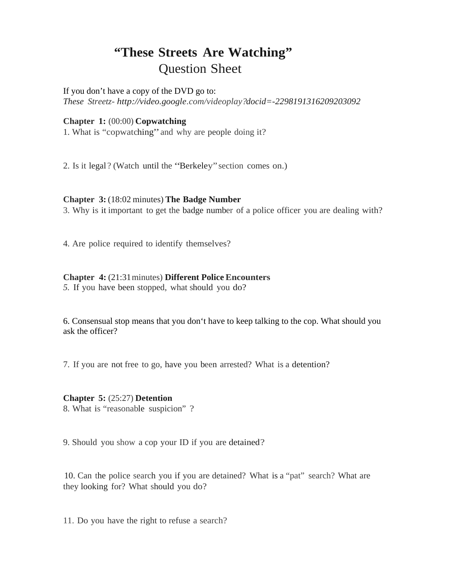# **"These Streets Are Watching"** Question Sheet

If you don't have a copy of the DVD go to: *These Streetz- http://video.google.com/videoplay?docid=-2298191316209203092*

# **Chapter 1:** (00:00) **Copwatching**

1. What is "copwatching" and why are people doing it?

2. Is it legal ? (Watch until the "Berkeley" section comes on.)

# **Chapter 3:** (18:02 minutes) **The Badge Number**

3. Why is it important to get the badge number of a police officer you are dealing with?

4. Are police required to identify themselves?

# **Chapter 4:** (21:31 minutes) **Different Police Encounters**

*5.* If you have been stopped, what should you do?

6. Consensual stop means that you don't have to keep talking to the cop. What should you ask the officer?

7. If you are not free to go, have you been arrested? What is a detention?

# **Chapter 5:** (25:27) **Detention**

8. What is "reasonable suspicion" ?

9. Should you show a cop your ID if you are detained?

10. Can the police search you if you are detained? What is a "pat" search? What are they looking for? What should you do?

11. Do you have the right to refuse a search?